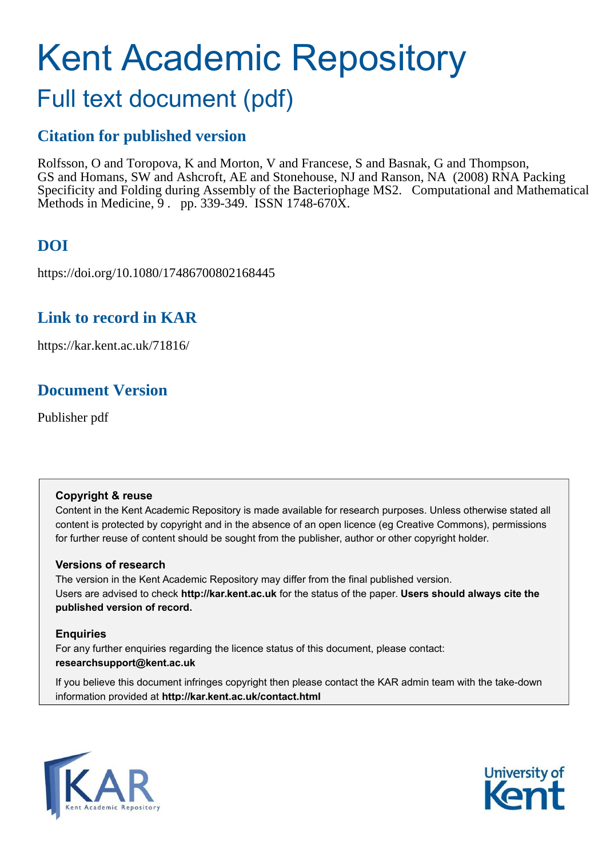# Kent Academic Repository

## Full text document (pdf)

## **Citation for published version**

Rolfsson, O and Toropova, K and Morton, V and Francese, S and Basnak, G and Thompson, GS and Homans, SW and Ashcroft, AE and Stonehouse, NJ and Ranson, NA (2008) RNA Packing Specificity and Folding during Assembly of the Bacteriophage MS2. Computational and Mathematical Methods in Medicine, 9 . pp. 339-349. ISSN 1748-670X.

## **DOI**

https://doi.org/10.1080/17486700802168445

## **Link to record in KAR**

https://kar.kent.ac.uk/71816/

## **Document Version**

Publisher pdf

#### **Copyright & reuse**

Content in the Kent Academic Repository is made available for research purposes. Unless otherwise stated all content is protected by copyright and in the absence of an open licence (eg Creative Commons), permissions for further reuse of content should be sought from the publisher, author or other copyright holder.

#### **Versions of research**

The version in the Kent Academic Repository may differ from the final published version. Users are advised to check **http://kar.kent.ac.uk** for the status of the paper. **Users should always cite the published version of record.**

#### **Enquiries**

For any further enquiries regarding the licence status of this document, please contact: **researchsupport@kent.ac.uk**

If you believe this document infringes copyright then please contact the KAR admin team with the take-down information provided at **http://kar.kent.ac.uk/contact.html**



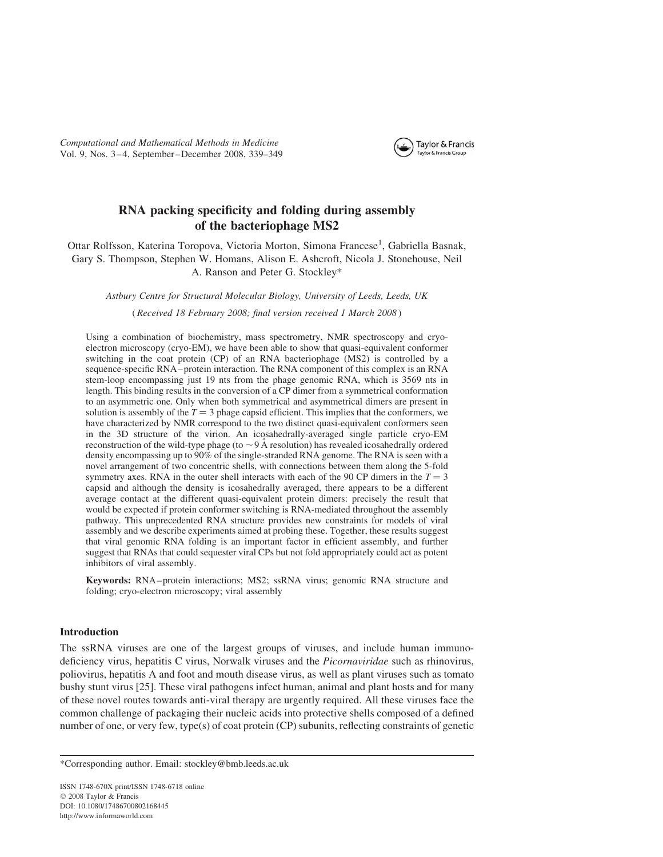*Computational and Mathematical Methods in Medicine* Vol. 9, Nos. 3 – 4, September–December 2008, 339–349



#### RNA packing specificity and folding during assembly of the bacteriophage MS2

Ottar Rolfsson, Katerina Toropova, Victoria Morton, Simona Francese<sup>1</sup>, Gabriella Basnak, Gary S. Thompson, Stephen W. Homans, Alison E. Ashcroft, Nicola J. Stonehouse, Neil A. Ranson and Peter G. Stockley\*

*Astbury Centre for Structural Molecular Biology, University of Leeds, Leeds, UK*

( *Received 18 February 2008; final version received 1 March 2008* )

Using a combination of biochemistry, mass spectrometry, NMR spectroscopy and cryoelectron microscopy (cryo-EM), we have been able to show that quasi-equivalent conformer switching in the coat protein (CP) of an RNA bacteriophage (MS2) is controlled by a sequence-specific RNA– protein interaction. The RNA component of this complex is an RNA stem-loop encompassing just 19 nts from the phage genomic RNA, which is 3569 nts in length. This binding results in the conversion of a CP dimer from a symmetrical conformation to an asymmetric one. Only when both symmetrical and asymmetrical dimers are present in solution is assembly of the  $T = 3$  phage capsid efficient. This implies that the conformers, we have characterized by NMR correspond to the two distinct quasi-equivalent conformers seen in the 3D structure of the virion. An icosahedrally-averaged single particle cryo-EM reconstruction of the wild-type phage (to  $\sim$  9 Å resolution) has revealed icosahedrally ordered density encompassing up to 90% of the single-stranded RNA genome. The RNA is seen with a novel arrangement of two concentric shells, with connections between them along the 5-fold symmetry axes. RNA in the outer shell interacts with each of the 90 CP dimers in the  $T = 3$ capsid and although the density is icosahedrally averaged, there appears to be a different average contact at the different quasi-equivalent protein dimers: precisely the result that would be expected if protein conformer switching is RNA-mediated throughout the assembly pathway. This unprecedented RNA structure provides new constraints for models of viral assembly and we describe experiments aimed at probing these. Together, these results suggest that viral genomic RNA folding is an important factor in efficient assembly, and further suggest that RNAs that could sequester viral CPs but not fold appropriately could act as potent inhibitors of viral assembly.

Keywords: RNA– protein interactions; MS2; ssRNA virus; genomic RNA structure and folding; cryo-electron microscopy; viral assembly

#### Introduction

The ssRNA viruses are one of the largest groups of viruses, and include human immunodeficiency virus, hepatitis C virus, Norwalk viruses and the *Picornaviridae* such as rhinovirus, poliovirus, hepatitis A and foot and mouth disease virus, as well as plant viruses such as tomato bushy stunt virus [25]. These viral pathogens infect human, animal and plant hosts and for many of these novel routes towards anti-viral therapy are urgently required. All these viruses face the common challenge of packaging their nucleic acids into protective shells composed of a defined number of one, or very few, type(s) of coat protein (CP) subunits, reflecting constraints of genetic

<sup>\*</sup>Corresponding author. Email: stockley@bmb.leeds.ac.uk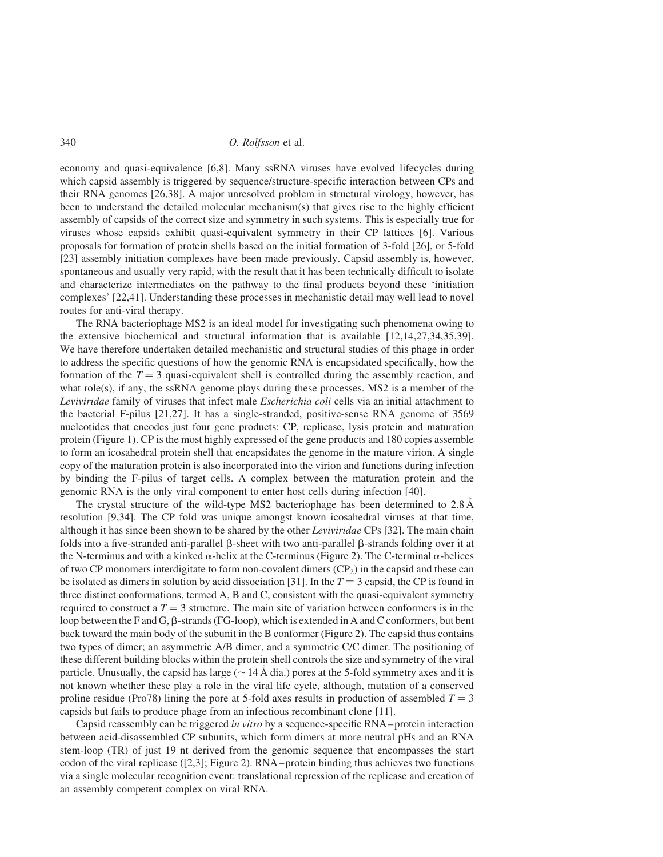340 *O. Rolfsson* et al.

economy and quasi-equivalence [6,8]. Many ssRNA viruses have evolved lifecycles during which capsid assembly is triggered by sequence/structure-specific interaction between CPs and their RNA genomes [26,38]. A major unresolved problem in structural virology, however, has been to understand the detailed molecular mechanism(s) that gives rise to the highly efficient assembly of capsids of the correct size and symmetry in such systems. This is especially true for viruses whose capsids exhibit quasi-equivalent symmetry in their CP lattices [6]. Various proposals for formation of protein shells based on the initial formation of 3-fold [26], or 5-fold [23] assembly initiation complexes have been made previously. Capsid assembly is, however, spontaneous and usually very rapid, with the result that it has been technically difficult to isolate and characterize intermediates on the pathway to the final products beyond these 'initiation complexes' [22,41]. Understanding these processes in mechanistic detail may well lead to novel routes for anti-viral therapy.

The RNA bacteriophage MS2 is an ideal model for investigating such phenomena owing to the extensive biochemical and structural information that is available [12,14,27,34,35,39]. We have therefore undertaken detailed mechanistic and structural studies of this phage in order to address the specific questions of how the genomic RNA is encapsidated specifically, how the formation of the  $T = 3$  quasi-equivalent shell is controlled during the assembly reaction, and what role(s), if any, the ssRNA genome plays during these processes. MS2 is a member of the *Leviviridae* family of viruses that infect male *Escherichia coli* cells via an initial attachment to the bacterial F-pilus [21,27]. It has a single-stranded, positive-sense RNA genome of 3569 nucleotides that encodes just four gene products: CP, replicase, lysis protein and maturation protein (Figure 1). CP is the most highly expressed of the gene products and 180 copies assemble to form an icosahedral protein shell that encapsidates the genome in the mature virion. A single copy of the maturation protein is also incorporated into the virion and functions during infection by binding the F-pilus of target cells. A complex between the maturation protein and the genomic RNA is the only viral component to enter host cells during infection [40].

The crystal structure of the wild-type MS2 bacteriophage has been determined to  $2.8 \text{ Å}$ resolution [9,34]. The CP fold was unique amongst known icosahedral viruses at that time, although it has since been shown to be shared by the other *Leviviridae* CPs [32]. The main chain folds into a five-stranded anti-parallel  $\beta$ -sheet with two anti-parallel  $\beta$ -strands folding over it at the N-terminus and with a kinked  $\alpha$ -helix at the C-terminus (Figure 2). The C-terminal  $\alpha$ -helices of two CP monomers interdigitate to form non-covalent dimers  $(CP<sub>2</sub>)$  in the capsid and these can be isolated as dimers in solution by acid dissociation [31]. In the  $T = 3$  capsid, the CP is found in three distinct conformations, termed A, B and C, consistent with the quasi-equivalent symmetry required to construct a  $T = 3$  structure. The main site of variation between conformers is in the loop between the F and G, β-strands (FG-loop), which is extended in A and C conformers, but bent back toward the main body of the subunit in the B conformer (Figure 2). The capsid thus contains two types of dimer; an asymmetric A/B dimer, and a symmetric C/C dimer. The positioning of these different building blocks within the protein shell controls the size and symmetry of the viral particle. Unusually, the capsid has large ( $\sim$  14 Å dia.) pores at the 5-fold symmetry axes and it is not known whether these play a role in the viral life cycle, although, mutation of a conserved proline residue (Pro78) lining the pore at 5-fold axes results in production of assembled  $T = 3$ capsids but fails to produce phage from an infectious recombinant clone [11].

Capsid reassembly can be triggered *in vitro* by a sequence-specific RNA –protein interaction between acid-disassembled CP subunits, which form dimers at more neutral pHs and an RNA stem-loop (TR) of just 19 nt derived from the genomic sequence that encompasses the start codon of the viral replicase ([2,3]; Figure 2). RNA – protein binding thus achieves two functions via a single molecular recognition event: translational repression of the replicase and creation of an assembly competent complex on viral RNA.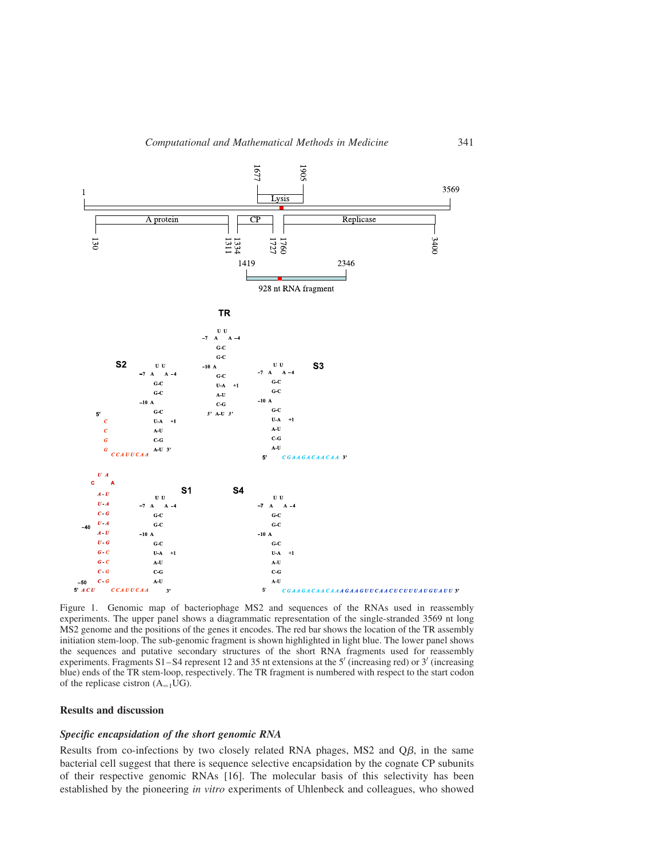

Figure 1. Genomic map of bacteriophage MS2 and sequences of the RNAs used in reassembly experiments. The upper panel shows a diagrammatic representation of the single-stranded 3569 nt long MS2 genome and the positions of the genes it encodes. The red bar shows the location of the TR assembly initiation stem-loop. The sub-genomic fragment is shown highlighted in light blue. The lower panel shows the sequences and putative secondary structures of the short RNA fragments used for reassembly experiments. Fragments S1-S4 represent 12 and 35 nt extensions at the  $5'$  (increasing red) or  $3'$  (increasing blue) ends of the TR stem-loop, respectively. The TR fragment is numbered with respect to the start codon of the replicase cistron  $(A_{=1}UG)$ .

#### Results and discussion

#### Specific encapsidation of the short genomic RNA

Results from co-infections by two closely related RNA phages,  $MS2$  and  $Q\beta$ , in the same bacterial cell suggest that there is sequence selective encapsidation by the cognate CP subunits of their respective genomic RNAs [16]. The molecular basis of this selectivity has been established by the pioneering *in vitro* experiments of Uhlenbeck and colleagues, who showed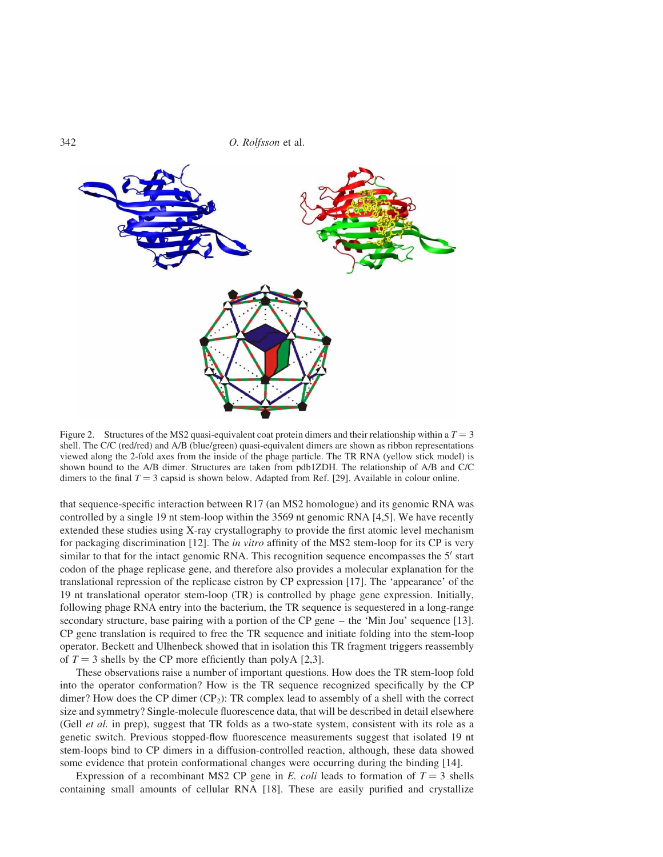

Figure 2. Structures of the MS2 quasi-equivalent coat protein dimers and their relationship within a  $T = 3$ shell. The C/C (red/red) and A/B (blue/green) quasi-equivalent dimers are shown as ribbon representations viewed along the 2-fold axes from the inside of the phage particle. The TR RNA (yellow stick model) is shown bound to the A/B dimer. Structures are taken from pdb1ZDH. The relationship of A/B and C/C dimers to the final  $T = 3$  capsid is shown below. Adapted from Ref. [29]. Available in colour online.

that sequence-specific interaction between R17 (an MS2 homologue) and its genomic RNA was controlled by a single 19 nt stem-loop within the 3569 nt genomic RNA [4,5]. We have recently extended these studies using X-ray crystallography to provide the first atomic level mechanism for packaging discrimination [12]. The *in vitro* affinity of the MS2 stem-loop for its CP is very similar to that for the intact genomic RNA. This recognition sequence encompasses the  $5'$  start codon of the phage replicase gene, and therefore also provides a molecular explanation for the translational repression of the replicase cistron by CP expression [17]. The 'appearance' of the 19 nt translational operator stem-loop (TR) is controlled by phage gene expression. Initially, following phage RNA entry into the bacterium, the TR sequence is sequestered in a long-range secondary structure, base pairing with a portion of the CP gene – the 'Min Jou' sequence [13]. CP gene translation is required to free the TR sequence and initiate folding into the stem-loop operator. Beckett and Ulhenbeck showed that in isolation this TR fragment triggers reassembly of  $T = 3$  shells by the CP more efficiently than polyA [2,3].

These observations raise a number of important questions. How does the TR stem-loop fold into the operator conformation? How is the TR sequence recognized specifically by the CP dimer? How does the CP dimer  $(CP_2)$ : TR complex lead to assembly of a shell with the correct size and symmetry? Single-molecule fluorescence data, that will be described in detail elsewhere (Gell *et al.* in prep), suggest that TR folds as a two-state system, consistent with its role as a genetic switch. Previous stopped-flow fluorescence measurements suggest that isolated 19 nt stem-loops bind to CP dimers in a diffusion-controlled reaction, although, these data showed some evidence that protein conformational changes were occurring during the binding [14].

Expression of a recombinant MS2 CP gene in *E. coli* leads to formation of  $T = 3$  shells containing small amounts of cellular RNA [18]. These are easily purified and crystallize

342 *O. Rolfsson* et al.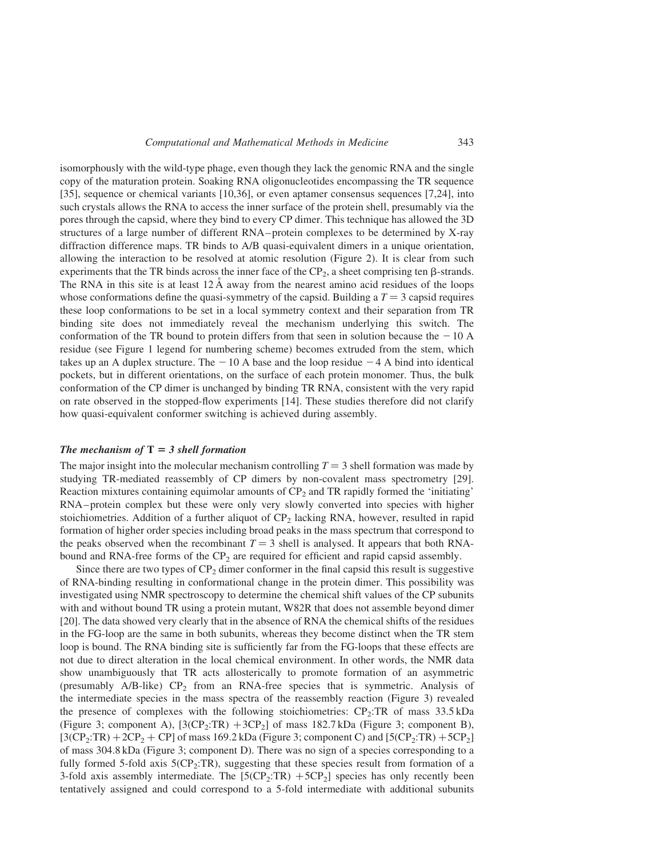isomorphously with the wild-type phage, even though they lack the genomic RNA and the single copy of the maturation protein. Soaking RNA oligonucleotides encompassing the TR sequence [35], sequence or chemical variants [10,36], or even aptamer consensus sequences [7,24], into such crystals allows the RNA to access the inner surface of the protein shell, presumably via the pores through the capsid, where they bind to every CP dimer. This technique has allowed the 3D structures of a large number of different RNA – protein complexes to be determined by X-ray diffraction difference maps. TR binds to A/B quasi-equivalent dimers in a unique orientation, allowing the interaction to be resolved at atomic resolution (Figure 2). It is clear from such experiments that the TR binds across the inner face of the  $CP_2$ , a sheet comprising ten  $\beta$ -strands. The RNA in this site is at least  $12 \text{ Å}$  away from the nearest amino acid residues of the loops whose conformations define the quasi-symmetry of the capsid. Building a  $T = 3$  capsid requires these loop conformations to be set in a local symmetry context and their separation from TR binding site does not immediately reveal the mechanism underlying this switch. The conformation of the TR bound to protein differs from that seen in solution because the  $-10$  A residue (see Figure 1 legend for numbering scheme) becomes extruded from the stem, which takes up an A duplex structure. The  $-10$  A base and the loop residue  $-4$  A bind into identical pockets, but in different orientations, on the surface of each protein monomer. Thus, the bulk conformation of the CP dimer is unchanged by binding TR RNA, consistent with the very rapid on rate observed in the stopped-flow experiments [14]. These studies therefore did not clarify how quasi-equivalent conformer switching is achieved during assembly.

#### The mechanism of  $T = 3$  shell formation

The major insight into the molecular mechanism controlling  $T = 3$  shell formation was made by studying TR-mediated reassembly of CP dimers by non-covalent mass spectrometry [29]. Reaction mixtures containing equimolar amounts of  $CP_2$  and TR rapidly formed the 'initiating' RNA – protein complex but these were only very slowly converted into species with higher stoichiometries. Addition of a further aliquot of  $CP_2$  lacking RNA, however, resulted in rapid formation of higher order species including broad peaks in the mass spectrum that correspond to the peaks observed when the recombinant  $T = 3$  shell is analysed. It appears that both RNAbound and RNA-free forms of the  $\text{CP}_2$  are required for efficient and rapid capsid assembly.

Since there are two types of  $CP_2$  dimer conformer in the final capsid this result is suggestive of RNA-binding resulting in conformational change in the protein dimer. This possibility was investigated using NMR spectroscopy to determine the chemical shift values of the CP subunits with and without bound TR using a protein mutant, W82R that does not assemble beyond dimer [20]. The data showed very clearly that in the absence of RNA the chemical shifts of the residues in the FG-loop are the same in both subunits, whereas they become distinct when the TR stem loop is bound. The RNA binding site is sufficiently far from the FG-loops that these effects are not due to direct alteration in the local chemical environment. In other words, the NMR data show unambiguously that TR acts allosterically to promote formation of an asymmetric (presumably  $A/B$ -like)  $CP_2$  from an RNA-free species that is symmetric. Analysis of the intermediate species in the mass spectra of the reassembly reaction (Figure 3) revealed the presence of complexes with the following stoichiometries:  $CP_2$ : TR of mass 33.5 kDa (Figure 3; component A),  $[3(CP_2:TR) + 3CP_2]$  of mass 182.7 kDa (Figure 3; component B),  $[3(CP_2:TR) + 2CP_2 + CP]$  of mass 169.2 kDa (Figure 3; component C) and  $[5(CP_2:TR) + 5CP_2]$ of mass 304.8 kDa (Figure 3; component D). There was no sign of a species corresponding to a fully formed 5-fold axis 5(CP<sub>2</sub>:TR), suggesting that these species result from formation of a 3-fold axis assembly intermediate. The  $[5(CP_2:TR) + 5CP_2]$  species has only recently been tentatively assigned and could correspond to a 5-fold intermediate with additional subunits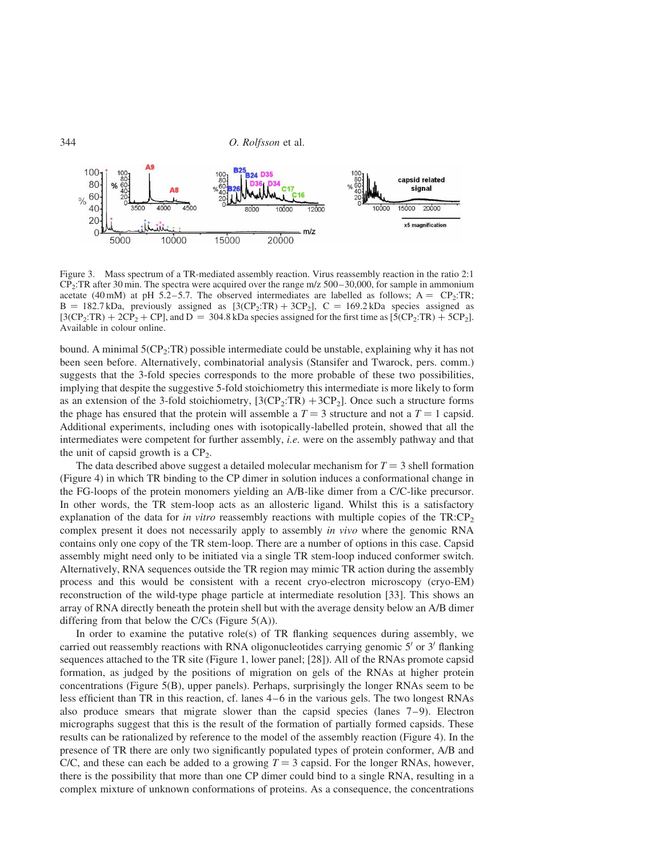

Figure 3. Mass spectrum of a TR-mediated assembly reaction. Virus reassembly reaction in the ratio 2:1 CP2:TR after 30 min. The spectra were acquired over the range m/z 500–30,000, for sample in ammonium acetate (40 mM) at pH 5.2-5.7. The observed intermediates are labelled as follows;  $A = CP_2$ :TR;  $B = 182.7 \text{ kDa}$ , previously assigned as  $[3(CP<sub>2</sub>:TR) + 3CP<sub>2</sub>]$ ,  $C = 169.2 \text{ kDa}$  species assigned as  $[3(CP_2:TR) + 2CP_2 + CP]$ , and  $D = 304.8$  kDa species assigned for the first time as  $[5(CP_2:TR) + 5CP_2]$ . Available in colour online.

bound. A minimal  $5(CP_2:TR)$  possible intermediate could be unstable, explaining why it has not been seen before. Alternatively, combinatorial analysis (Stansifer and Twarock, pers. comm.) suggests that the 3-fold species corresponds to the more probable of these two possibilities, implying that despite the suggestive 5-fold stoichiometry this intermediate is more likely to form as an extension of the 3-fold stoichiometry,  $[3(CP_2:TR) + 3CP_2]$ . Once such a structure forms the phage has ensured that the protein will assemble a  $T = 3$  structure and not a  $T = 1$  capsid. Additional experiments, including ones with isotopically-labelled protein, showed that all the intermediates were competent for further assembly, *i.e.* were on the assembly pathway and that the unit of capsid growth is a  $CP_2$ .

The data described above suggest a detailed molecular mechanism for  $T = 3$  shell formation (Figure 4) in which TR binding to the CP dimer in solution induces a conformational change in the FG-loops of the protein monomers yielding an A/B-like dimer from a C/C-like precursor. In other words, the TR stem-loop acts as an allosteric ligand. Whilst this is a satisfactory explanation of the data for *in vitro* reassembly reactions with multiple copies of the TR:CP<sub>2</sub> complex present it does not necessarily apply to assembly *in vivo* where the genomic RNA contains only one copy of the TR stem-loop. There are a number of options in this case. Capsid assembly might need only to be initiated via a single TR stem-loop induced conformer switch. Alternatively, RNA sequences outside the TR region may mimic TR action during the assembly process and this would be consistent with a recent cryo-electron microscopy (cryo-EM) reconstruction of the wild-type phage particle at intermediate resolution [33]. This shows an array of RNA directly beneath the protein shell but with the average density below an A/B dimer differing from that below the C/Cs (Figure 5(A)).

In order to examine the putative role(s) of TR flanking sequences during assembly, we carried out reassembly reactions with RNA oligonucleotides carrying genomic  $5'$  or  $3'$  flanking sequences attached to the TR site (Figure 1, lower panel; [28]). All of the RNAs promote capsid formation, as judged by the positions of migration on gels of the RNAs at higher protein concentrations (Figure 5(B), upper panels). Perhaps, surprisingly the longer RNAs seem to be less efficient than TR in this reaction, cf. lanes 4 –6 in the various gels. The two longest RNAs also produce smears that migrate slower than the capsid species (lanes  $7-9$ ). Electron micrographs suggest that this is the result of the formation of partially formed capsids. These results can be rationalized by reference to the model of the assembly reaction (Figure 4). In the presence of TR there are only two significantly populated types of protein conformer, A/B and C/C, and these can each be added to a growing  $T = 3$  capsid. For the longer RNAs, however, there is the possibility that more than one CP dimer could bind to a single RNA, resulting in a complex mixture of unknown conformations of proteins. As a consequence, the concentrations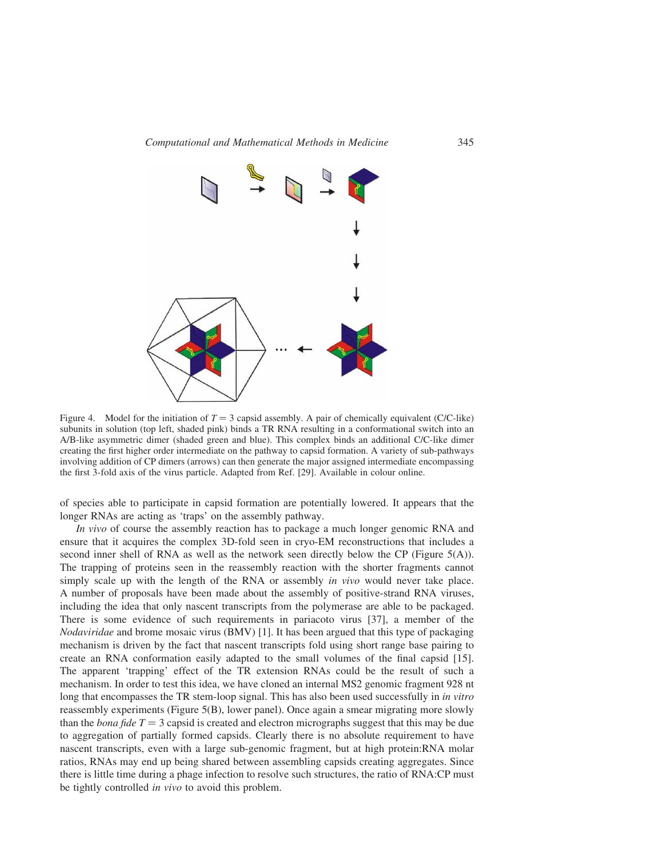

Figure 4. Model for the initiation of  $T = 3$  capsid assembly. A pair of chemically equivalent (C/C-like) subunits in solution (top left, shaded pink) binds a TR RNA resulting in a conformational switch into an A/B-like asymmetric dimer (shaded green and blue). This complex binds an additional C/C-like dimer creating the first higher order intermediate on the pathway to capsid formation. A variety of sub-pathways involving addition of CP dimers (arrows) can then generate the major assigned intermediate encompassing the first 3-fold axis of the virus particle. Adapted from Ref. [29]. Available in colour online.

of species able to participate in capsid formation are potentially lowered. It appears that the longer RNAs are acting as 'traps' on the assembly pathway.

*In vivo* of course the assembly reaction has to package a much longer genomic RNA and ensure that it acquires the complex 3D-fold seen in cryo-EM reconstructions that includes a second inner shell of RNA as well as the network seen directly below the CP (Figure 5(A)). The trapping of proteins seen in the reassembly reaction with the shorter fragments cannot simply scale up with the length of the RNA or assembly *in vivo* would never take place. A number of proposals have been made about the assembly of positive-strand RNA viruses, including the idea that only nascent transcripts from the polymerase are able to be packaged. There is some evidence of such requirements in pariacoto virus [37], a member of the *Nodaviridae* and brome mosaic virus (BMV) [1]. It has been argued that this type of packaging mechanism is driven by the fact that nascent transcripts fold using short range base pairing to create an RNA conformation easily adapted to the small volumes of the final capsid [15]. The apparent 'trapping' effect of the TR extension RNAs could be the result of such a mechanism. In order to test this idea, we have cloned an internal MS2 genomic fragment 928 nt long that encompasses the TR stem-loop signal. This has also been used successfully in *in vitro* reassembly experiments (Figure 5(B), lower panel). Once again a smear migrating more slowly than the *bona fide*  $T = 3$  capsid is created and electron micrographs suggest that this may be due to aggregation of partially formed capsids. Clearly there is no absolute requirement to have nascent transcripts, even with a large sub-genomic fragment, but at high protein:RNA molar ratios, RNAs may end up being shared between assembling capsids creating aggregates. Since there is little time during a phage infection to resolve such structures, the ratio of RNA:CP must be tightly controlled *in vivo* to avoid this problem.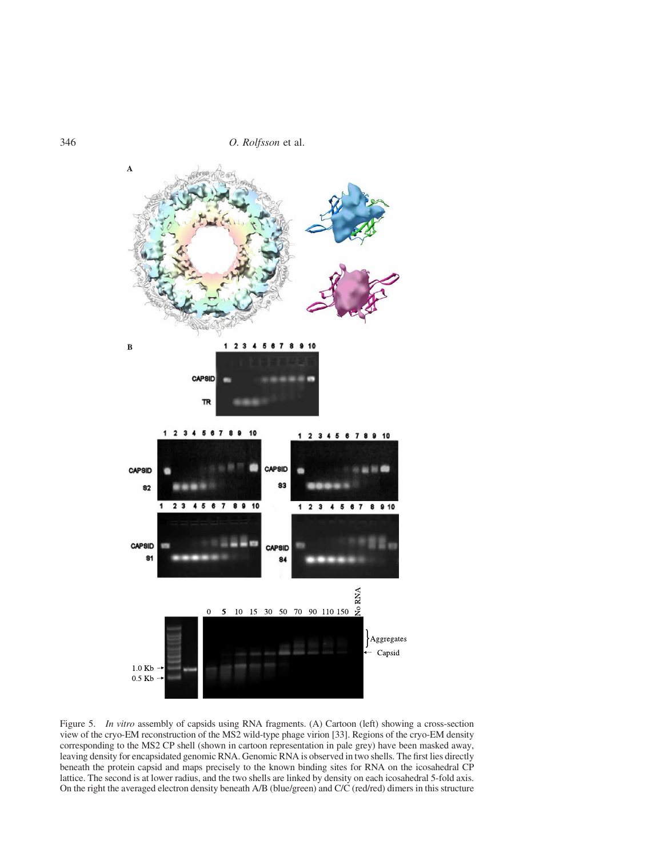346 *O. Rolfsson* et al.



Figure 5. *In vitro* assembly of capsids using RNA fragments. (A) Cartoon (left) showing a cross-section view of the cryo-EM reconstruction of the MS2 wild-type phage virion [33]. Regions of the cryo-EM density corresponding to the MS2 CP shell (shown in cartoon representation in pale grey) have been masked away, leaving density for encapsidated genomic RNA. Genomic RNA is observed in two shells. The first lies directly beneath the protein capsid and maps precisely to the known binding sites for RNA on the icosahedral CP lattice. The second is at lower radius, and the two shells are linked by density on each icosahedral 5-fold axis. On the right the averaged electron density beneath A/B (blue/green) and C/C (red/red) dimers in this structure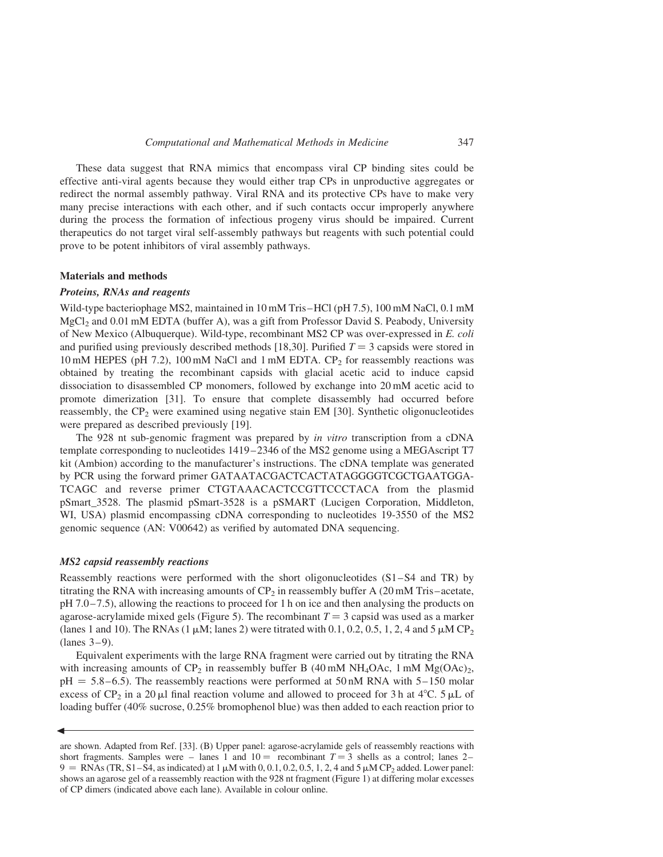These data suggest that RNA mimics that encompass viral CP binding sites could be effective anti-viral agents because they would either trap CPs in unproductive aggregates or redirect the normal assembly pathway. Viral RNA and its protective CPs have to make very many precise interactions with each other, and if such contacts occur improperly anywhere during the process the formation of infectious progeny virus should be impaired. Current therapeutics do not target viral self-assembly pathways but reagents with such potential could prove to be potent inhibitors of viral assembly pathways.

#### Materials and methods

#### Proteins, RNAs and reagents

Wild-type bacteriophage MS2, maintained in 10 mM Tris-HCl (pH 7.5), 100 mM NaCl, 0.1 mM MgCl<sub>2</sub> and 0.01 mM EDTA (buffer A), was a gift from Professor David S. Peabody, University of New Mexico (Albuquerque). Wild-type, recombinant MS2 CP was over-expressed in *E. coli* and purified using previously described methods [18,30]. Purified  $T = 3$  capsids were stored in  $10 \text{ mM HEPES (pH 7.2)}$ ,  $100 \text{ mM NaCl}$  and  $1 \text{ mM EDTA}$ .  $CP_2$  for reassembly reactions was obtained by treating the recombinant capsids with glacial acetic acid to induce capsid dissociation to disassembled CP monomers, followed by exchange into 20 mM acetic acid to promote dimerization [31]. To ensure that complete disassembly had occurred before reassembly, the  $CP_2$  were examined using negative stain EM [30]. Synthetic oligonucleotides were prepared as described previously [19].

The 928 nt sub-genomic fragment was prepared by *in vitro* transcription from a cDNA template corresponding to nucleotides 1419 – 2346 of the MS2 genome using a MEGAscript T7 kit (Ambion) according to the manufacturer's instructions. The cDNA template was generated by PCR using the forward primer GATAATACGACTCACTATAGGGGTCGCTGAATGGA-TCAGC and reverse primer CTGTAAACACTCCGTTCCCTACA from the plasmid pSmart\_3528. The plasmid pSmart-3528 is a pSMART (Lucigen Corporation, Middleton, WI, USA) plasmid encompassing cDNA corresponding to nucleotides 19-3550 of the MS2 genomic sequence (AN: V00642) as verified by automated DNA sequencing.

#### MS2 capsid reassembly reactions

 $\blacktriangleleft$ 

Reassembly reactions were performed with the short oligonucleotides  $(S1 - S4$  and TR) by titrating the RNA with increasing amounts of  $CP_2$  in reassembly buffer A (20 mM Tris –acetate, pH 7.0 – 7.5), allowing the reactions to proceed for 1 h on ice and then analysing the products on agarose-acrylamide mixed gels (Figure 5). The recombinant  $T = 3$  capsid was used as a marker (lanes 1 and 10). The RNAs (1  $\mu$ M; lanes 2) were titrated with 0.1, 0.2, 0.5, 1, 2, 4 and 5  $\mu$ M CP<sub>2</sub>  $(lanes 3-9)$ .

Equivalent experiments with the large RNA fragment were carried out by titrating the RNA with increasing amounts of  $CP_2$  in reassembly buffer B (40 mM NH<sub>4</sub>OAc, 1 mM Mg(OAc)<sub>2</sub>,  $pH = 5.8 - 6.5$ ). The reassembly reactions were performed at 50 nM RNA with 5–150 molar excess of  $CP_2$  in a 20 µl final reaction volume and allowed to proceed for 3 h at 4 $\degree$ C. 5 µL of loading buffer (40% sucrose, 0.25% bromophenol blue) was then added to each reaction prior to

are shown. Adapted from Ref. [33]. (B) Upper panel: agarose-acrylamide gels of reassembly reactions with short fragments. Samples were – lanes 1 and  $10 =$  recombinant  $T = 3$  shells as a control; lanes 2–  $9 = \text{RNAs (TR, S1–S4, as indicated) at } 1 \mu\text{M with 0, 0.1, 0.2, 0.5, 1, 2, 4 and 5 \mu\text{M CP}_2$  added. Lower panel: shows an agarose gel of a reassembly reaction with the 928 nt fragment (Figure 1) at differing molar excesses of CP dimers (indicated above each lane). Available in colour online.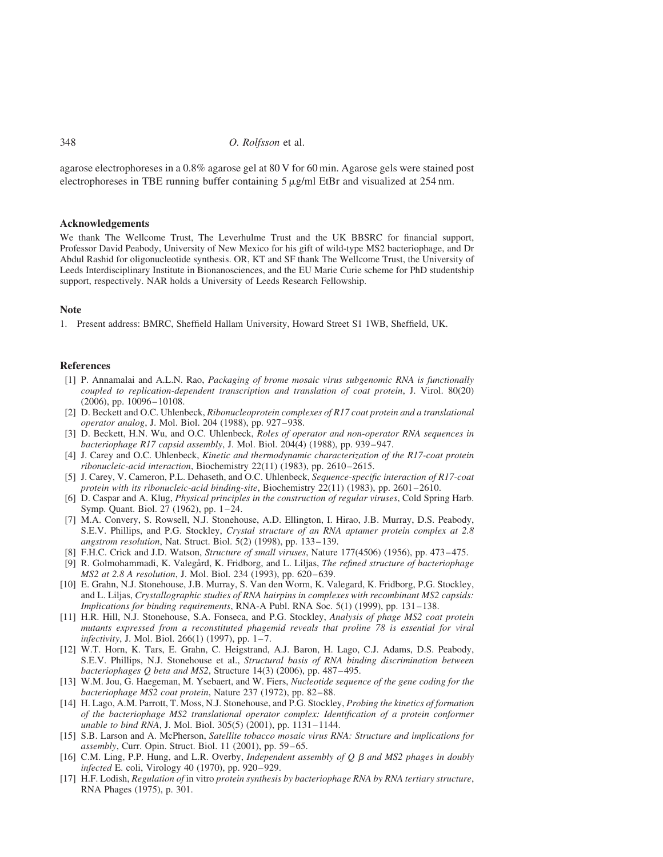348 *O. Rolfsson* et al.

agarose electrophoreses in a 0.8% agarose gel at 80 V for 60 min. Agarose gels were stained post electrophoreses in TBE running buffer containing  $5 \mu g/ml$  EtBr and visualized at 254 nm.

#### Acknowledgements

We thank The Wellcome Trust, The Leverhulme Trust and the UK BBSRC for financial support, Professor David Peabody, University of New Mexico for his gift of wild-type MS2 bacteriophage, and Dr Abdul Rashid for oligonucleotide synthesis. OR, KT and SF thank The Wellcome Trust, the University of Leeds Interdisciplinary Institute in Bionanosciences, and the EU Marie Curie scheme for PhD studentship support, respectively. NAR holds a University of Leeds Research Fellowship.

#### Note

1. Present address: BMRC, Sheffield Hallam University, Howard Street S1 1WB, Sheffield, UK.

#### References

- [1] P. Annamalai and A.L.N. Rao, *Packaging of brome mosaic virus subgenomic RNA is functionally coupled to replication-dependent transcription and translation of coat protein*, J. Virol. 80(20)  $(2006)$ , pp.  $10096 - 10108$ .
- [2] D. Beckett and O.C. Uhlenbeck, *Ribonucleoprotein complexes of R17 coat protein and a translational operator analog*, J. Mol. Biol. 204 (1988), pp. 927–938.
- [3] D. Beckett, H.N. Wu, and O.C. Uhlenbeck, *Roles of operator and non-operator RNA sequences in bacteriophage R17 capsid assembly*, J. Mol. Biol. 204(4) (1988), pp. 939– 947.
- [4] J. Carey and O.C. Uhlenbeck, *Kinetic and thermodynamic characterization of the R17-coat protein ribonucleic-acid interaction*, Biochemistry 22(11) (1983), pp. 2610– 2615.
- [5] J. Carey, V. Cameron, P.L. Dehaseth, and O.C. Uhlenbeck, *Sequence-specific interaction of R17-coat protein with its ribonucleic-acid binding-site*, Biochemistry 22(11) (1983), pp. 2601– 2610.
- [6] D. Caspar and A. Klug, *Physical principles in the construction of regular viruses*, Cold Spring Harb. Symp. Quant. Biol. 27 (1962), pp. 1-24.
- [7] M.A. Convery, S. Rowsell, N.J. Stonehouse, A.D. Ellington, I. Hirao, J.B. Murray, D.S. Peabody, S.E.V. Phillips, and P.G. Stockley, *Crystal structure of an RNA aptamer protein complex at 2.8 angstrom resolution*, Nat. Struct. Biol. 5(2) (1998), pp. 133–139.
- [8] F.H.C. Crick and J.D. Watson, *Structure of small viruses*, Nature 177(4506) (1956), pp. 473– 475.
- [9] R. Golmohammadi, K. Valegård, K. Fridborg, and L. Liljas, *The refined structure of bacteriophage MS2 at 2.8 A resolution, J. Mol. Biol. 234 (1993), pp. 620–639.*
- [10] E. Grahn, N.J. Stonehouse, J.B. Murray, S. Van den Worm, K. Valegard, K. Fridborg, P.G. Stockley, and L. Liljas, *Crystallographic studies of RNA hairpins in complexes with recombinant MS2 capsids: Implications for binding requirements*, RNA-A Publ. RNA Soc. 5(1) (1999), pp. 131–138.
- [11] H.R. Hill, N.J. Stonehouse, S.A. Fonseca, and P.G. Stockley, *Analysis of phage MS2 coat protein mutants expressed from a reconstituted phagemid reveals that proline 78 is essential for viral infectivity*, J. Mol. Biol. 266(1) (1997), pp. 1–7.
- [12] W.T. Horn, K. Tars, E. Grahn, C. Heigstrand, A.J. Baron, H. Lago, C.J. Adams, D.S. Peabody, S.E.V. Phillips, N.J. Stonehouse et al., *Structural basis of RNA binding discrimination between bacteriophages Q beta and MS2*, Structure 14(3) (2006), pp. 487– 495.
- [13] W.M. Jou, G. Haegeman, M. Ysebaert, and W. Fiers, *Nucleotide sequence of the gene coding for the bacteriophage MS2 coat protein*, Nature 237 (1972), pp. 82 – 88.
- [14] H. Lago, A.M. Parrott, T. Moss, N.J. Stonehouse, and P.G. Stockley, *Probing the kinetics of formation of the bacteriophage MS2 translational operator complex: Identification of a protein conformer unable to bind RNA*, J. Mol. Biol. 305(5) (2001), pp. 1131– 1144.
- [15] S.B. Larson and A. McPherson, *Satellite tobacco mosaic virus RNA: Structure and implications for assembly*, Curr. Opin. Struct. Biol. 11 (2001), pp. 59 – 65.
- [16] C.M. Ling, P.P. Hung, and L.R. Overby, *Independent assembly of Q* b *and MS2 phages in doubly infected* E. coli, Virology 40 (1970), pp. 920-929.
- [17] H.F. Lodish, *Regulation of* in vitro *protein synthesis by bacteriophage RNA by RNA tertiary structure*, RNA Phages (1975), p. 301.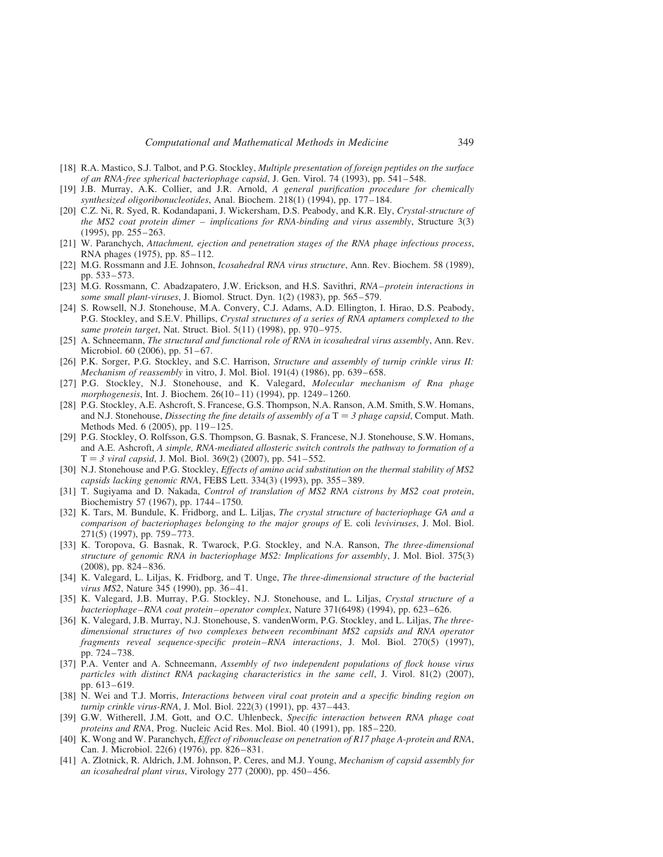- [18] R.A. Mastico, S.J. Talbot, and P.G. Stockley, *Multiple presentation of foreign peptides on the surface of an RNA-free spherical bacteriophage capsid*, J. Gen. Virol. 74 (1993), pp. 541– 548.
- [19] J.B. Murray, A.K. Collier, and J.R. Arnold, *A general purification procedure for chemically synthesized oligoribonucleotides*, Anal. Biochem. 218(1) (1994), pp. 177– 184.
- [20] C.Z. Ni, R. Syed, R. Kodandapani, J. Wickersham, D.S. Peabody, and K.R. Ely, *Crystal-structure of the MS2 coat protein dimer – implications for RNA-binding and virus assembly*, Structure 3(3) (1995), pp. 255-263.
- [21] W. Paranchych, *Attachment, ejection and penetration stages of the RNA phage infectious process*, RNA phages (1975), pp. 85–112.
- [22] M.G. Rossmann and J.E. Johnson, *Icosahedral RNA virus structure*, Ann. Rev. Biochem. 58 (1989), pp. 533– 573.
- [23] M.G. Rossmann, C. Abadzapatero, J.W. Erickson, and H.S. Savithri, *RNA– protein interactions in some small plant-viruses*, J. Biomol. Struct. Dyn. 1(2) (1983), pp. 565– 579.
- [24] S. Rowsell, N.J. Stonehouse, M.A. Convery, C.J. Adams, A.D. Ellington, I. Hirao, D.S. Peabody, P.G. Stockley, and S.E.V. Phillips, *Crystal structures of a series of RNA aptamers complexed to the same protein target*, Nat. Struct. Biol. 5(11) (1998), pp. 970– 975.
- [25] A. Schneemann, *The structural and functional role of RNA in icosahedral virus assembly*, Ann. Rev. Microbiol. 60 (2006), pp. 51-67.
- [26] P.K. Sorger, P.G. Stockley, and S.C. Harrison, *Structure and assembly of turnip crinkle virus II: Mechanism of reassembly* in vitro, J. Mol. Biol. 191(4) (1986), pp. 639– 658.
- [27] P.G. Stockley, N.J. Stonehouse, and K. Valegard, *Molecular mechanism of Rna phage morphogenesis*, Int. J. Biochem. 26(10 – 11) (1994), pp. 1249– 1260.
- [28] P.G. Stockley, A.E. Ashcroft, S. Francese, G.S. Thompson, N.A. Ranson, A.M. Smith, S.W. Homans, and N.J. Stonehouse, *Dissecting the fine details of assembly of a*  $T = 3$  *phage capsid*, Comput. Math. Methods Med. 6 (2005), pp. 119– 125.
- [29] P.G. Stockley, O. Rolfsson, G.S. Thompson, G. Basnak, S. Francese, N.J. Stonehouse, S.W. Homans, and A.E. Ashcroft, *A simple, RNA-mediated allosteric switch controls the pathway to formation of a*  $T = 3$  *viral capsid*, J. Mol. Biol. 369(2) (2007), pp. 541–552.
- [30] N.J. Stonehouse and P.G. Stockley, *Effects of amino acid substitution on the thermal stability of MS2 capsids lacking genomic RNA*, FEBS Lett. 334(3) (1993), pp. 355– 389.
- [31] T. Sugiyama and D. Nakada, *Control of translation of MS2 RNA cistrons by MS2 coat protein*, Biochemistry 57 (1967), pp. 1744– 1750.
- [32] K. Tars, M. Bundule, K. Fridborg, and L. Liljas, *The crystal structure of bacteriophage GA and a comparison of bacteriophages belonging to the major groups of* E. coli *leviviruses*, J. Mol. Biol. 271(5) (1997), pp. 759– 773.
- [33] K. Toropova, G. Basnak, R. Twarock, P.G. Stockley, and N.A. Ranson, *The three-dimensional structure of genomic RNA in bacteriophage MS2: Implications for assembly*, J. Mol. Biol. 375(3) (2008), pp. 824– 836.
- [34] K. Valegard, L. Liljas, K. Fridborg, and T. Unge, *The three-dimensional structure of the bacterial virus MS2*, Nature 345 (1990), pp. 36–41.
- [35] K. Valegard, J.B. Murray, P.G. Stockley, N.J. Stonehouse, and L. Liljas, *Crystal structure of a bacteriophage–RNA coat protein – operator complex*, Nature 371(6498) (1994), pp. 623–626.
- [36] K. Valegard, J.B. Murray, N.J. Stonehouse, S. vandenWorm, P.G. Stockley, and L. Liljas, *The threedimensional structures of two complexes between recombinant MS2 capsids and RNA operator fragments reveal sequence-specific protein –RNA interactions*, J. Mol. Biol. 270(5) (1997), pp. 724– 738.
- [37] P.A. Venter and A. Schneemann, *Assembly of two independent populations of flock house virus particles with distinct RNA packaging characteristics in the same cell*, J. Virol. 81(2) (2007), pp. 613– 619.
- [38] N. Wei and T.J. Morris, *Interactions between viral coat protein and a specific binding region on turnip crinkle virus-RNA*, J. Mol. Biol. 222(3) (1991), pp. 437– 443.
- [39] G.W. Witherell, J.M. Gott, and O.C. Uhlenbeck, *Specific interaction between RNA phage coat proteins and RNA*, Prog. Nucleic Acid Res. Mol. Biol. 40 (1991), pp. 185–220.
- [40] K. Wong and W. Paranchych, *Effect of ribonuclease on penetration of R17 phage A-protein and RNA*, Can. J. Microbiol. 22(6) (1976), pp. 826– 831.
- [41] A. Zlotnick, R. Aldrich, J.M. Johnson, P. Ceres, and M.J. Young, *Mechanism of capsid assembly for an icosahedral plant virus*, Virology 277 (2000), pp. 450–456.